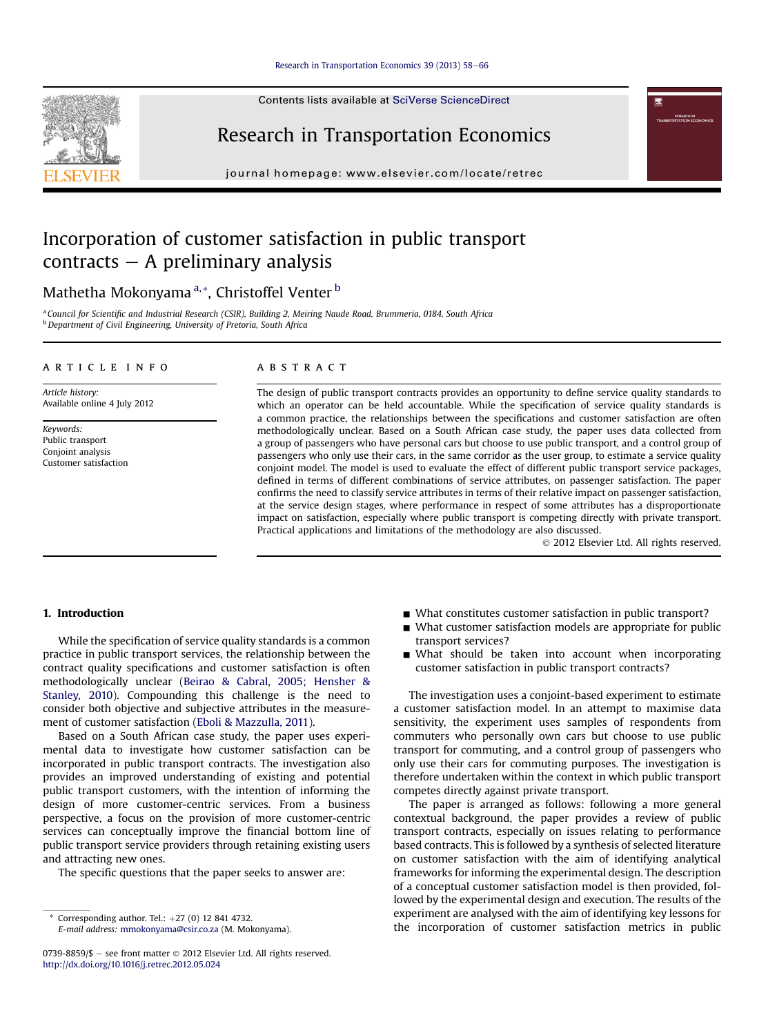#### [Research in Transportation Economics 39 \(2013\) 58](http://dx.doi.org/10.1016/j.retrec.2012.05.024)-[66](http://dx.doi.org/10.1016/j.retrec.2012.05.024)

Contents lists available at SciVerse ScienceDirect



Research in Transportation Economics

journal homepage: [www.elsevier.com/locate/retrec](http://www.elsevier.com/locate/retrec)

## Incorporation of customer satisfaction in public transport  $contracts - A preliminary analysis$

### Mathetha Mokonyama<sup>a,\*</sup>, Christoffel Venter<sup>b</sup>

<sup>a</sup> Council for Scientific and Industrial Research (CSIR), Building 2, Meiring Naude Road, Brummeria, 0184, South Africa <sup>b</sup> Department of Civil Engineering, University of Pretoria, South Africa

#### article info

Article history: Available online 4 July 2012

Keywords: Public transport Conjoint analysis Customer satisfaction

#### **ABSTRACT**

The design of public transport contracts provides an opportunity to define service quality standards to which an operator can be held accountable. While the specification of service quality standards is a common practice, the relationships between the specifications and customer satisfaction are often methodologically unclear. Based on a South African case study, the paper uses data collected from a group of passengers who have personal cars but choose to use public transport, and a control group of passengers who only use their cars, in the same corridor as the user group, to estimate a service quality conjoint model. The model is used to evaluate the effect of different public transport service packages, defined in terms of different combinations of service attributes, on passenger satisfaction. The paper confirms the need to classify service attributes in terms of their relative impact on passenger satisfaction, at the service design stages, where performance in respect of some attributes has a disproportionate impact on satisfaction, especially where public transport is competing directly with private transport. Practical applications and limitations of the methodology are also discussed.

2012 Elsevier Ltd. All rights reserved.

#### 1. Introduction

While the specification of service quality standards is a common practice in public transport services, the relationship between the contract quality specifications and customer satisfaction is often methodologically unclear ([Beirao & Cabral, 2005; Hensher &](#page--1-0) [Stanley, 2010](#page--1-0)). Compounding this challenge is the need to consider both objective and subjective attributes in the measurement of customer satisfaction ([Eboli & Mazzulla, 2011\)](#page--1-0).

Based on a South African case study, the paper uses experimental data to investigate how customer satisfaction can be incorporated in public transport contracts. The investigation also provides an improved understanding of existing and potential public transport customers, with the intention of informing the design of more customer-centric services. From a business perspective, a focus on the provision of more customer-centric services can conceptually improve the financial bottom line of public transport service providers through retaining existing users and attracting new ones.

The specific questions that the paper seeks to answer are:

- $\blacksquare$  What constitutes customer satisfaction in public transport?
- $\blacksquare$  What customer satisfaction models are appropriate for public transport services?
- What should be taken into account when incorporating customer satisfaction in public transport contracts?

The investigation uses a conjoint-based experiment to estimate a customer satisfaction model. In an attempt to maximise data sensitivity, the experiment uses samples of respondents from commuters who personally own cars but choose to use public transport for commuting, and a control group of passengers who only use their cars for commuting purposes. The investigation is therefore undertaken within the context in which public transport competes directly against private transport.

The paper is arranged as follows: following a more general contextual background, the paper provides a review of public transport contracts, especially on issues relating to performance based contracts. This is followed by a synthesis of selected literature on customer satisfaction with the aim of identifying analytical frameworks for informing the experimental design. The description of a conceptual customer satisfaction model is then provided, followed by the experimental design and execution. The results of the experiment are analysed with the aim of identifying key lessons for the incorporation of customers of customers of customers and experiment are analysed with the aim of identifying key lessons for<br>E-mail address: mmokonyama@csir.co.za (M. Mokonyama). The incorporation of customer satisfact

E-mail address: [mmokonyama@csir.co.za](mailto:mmokonyama@csir.co.za) (M. Mokonyama).

<sup>0739-8859/\$ -</sup> see front matter  $\odot$  2012 Elsevier Ltd. All rights reserved. <http://dx.doi.org/10.1016/j.retrec.2012.05.024>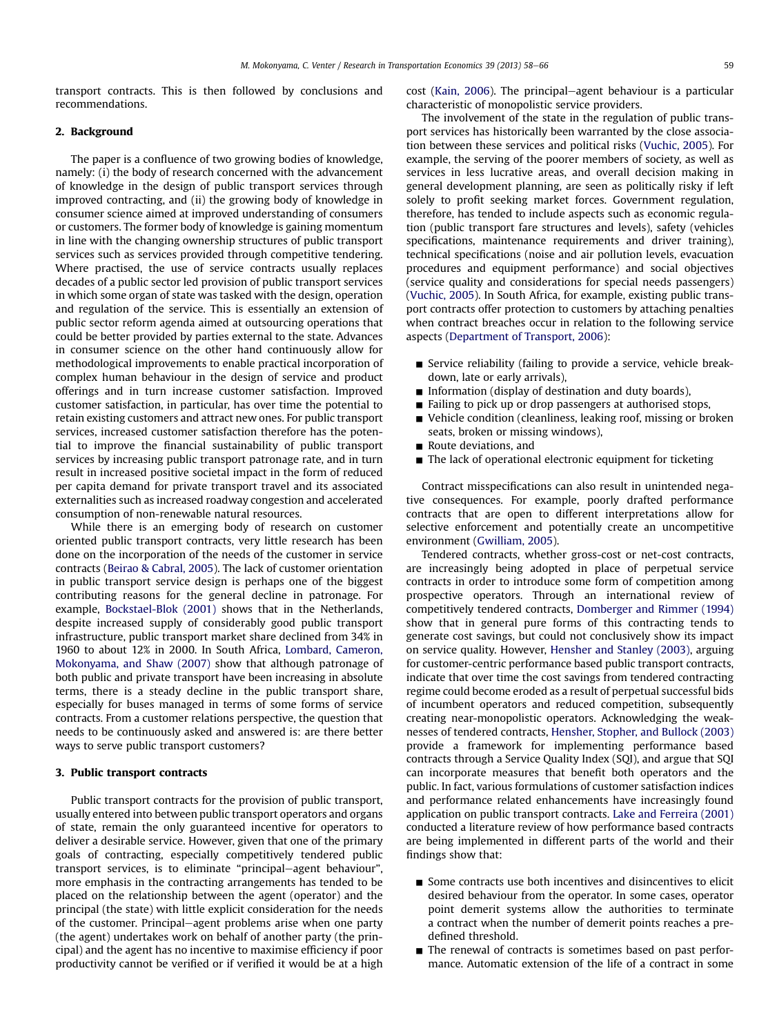transport contracts. This is then followed by conclusions and recommendations.

#### 2. Background

The paper is a confluence of two growing bodies of knowledge, namely: (i) the body of research concerned with the advancement of knowledge in the design of public transport services through improved contracting, and (ii) the growing body of knowledge in consumer science aimed at improved understanding of consumers or customers. The former body of knowledge is gaining momentum in line with the changing ownership structures of public transport services such as services provided through competitive tendering. Where practised, the use of service contracts usually replaces decades of a public sector led provision of public transport services in which some organ of state was tasked with the design, operation and regulation of the service. This is essentially an extension of public sector reform agenda aimed at outsourcing operations that could be better provided by parties external to the state. Advances in consumer science on the other hand continuously allow for methodological improvements to enable practical incorporation of complex human behaviour in the design of service and product offerings and in turn increase customer satisfaction. Improved customer satisfaction, in particular, has over time the potential to retain existing customers and attract new ones. For public transport services, increased customer satisfaction therefore has the potential to improve the financial sustainability of public transport services by increasing public transport patronage rate, and in turn result in increased positive societal impact in the form of reduced per capita demand for private transport travel and its associated externalities such as increased roadway congestion and accelerated consumption of non-renewable natural resources.

While there is an emerging body of research on customer oriented public transport contracts, very little research has been done on the incorporation of the needs of the customer in service contracts [\(Beirao & Cabral, 2005\)](#page--1-0). The lack of customer orientation in public transport service design is perhaps one of the biggest contributing reasons for the general decline in patronage. For example, [Bockstael-Blok \(2001\)](#page--1-0) shows that in the Netherlands, despite increased supply of considerably good public transport infrastructure, public transport market share declined from 34% in 1960 to about 12% in 2000. In South Africa, [Lombard, Cameron,](#page--1-0) [Mokonyama, and Shaw \(2007\)](#page--1-0) show that although patronage of both public and private transport have been increasing in absolute terms, there is a steady decline in the public transport share, especially for buses managed in terms of some forms of service contracts. From a customer relations perspective, the question that needs to be continuously asked and answered is: are there better ways to serve public transport customers?

#### 3. Public transport contracts

Public transport contracts for the provision of public transport, usually entered into between public transport operators and organs of state, remain the only guaranteed incentive for operators to deliver a desirable service. However, given that one of the primary goals of contracting, especially competitively tendered public transport services, is to eliminate "principal-agent behaviour", more emphasis in the contracting arrangements has tended to be placed on the relationship between the agent (operator) and the principal (the state) with little explicit consideration for the needs of the customer. Principal–agent problems arise when one party (the agent) undertakes work on behalf of another party (the principal) and the agent has no incentive to maximise efficiency if poor productivity cannot be verified or if verified it would be at a high cost [\(Kain, 2006](#page--1-0)). The principal–agent behaviour is a particular characteristic of monopolistic service providers.

The involvement of the state in the regulation of public transport services has historically been warranted by the close association between these services and political risks ([Vuchic, 2005\)](#page--1-0). For example, the serving of the poorer members of society, as well as services in less lucrative areas, and overall decision making in general development planning, are seen as politically risky if left solely to profit seeking market forces. Government regulation, therefore, has tended to include aspects such as economic regulation (public transport fare structures and levels), safety (vehicles specifications, maintenance requirements and driver training), technical specifications (noise and air pollution levels, evacuation procedures and equipment performance) and social objectives (service quality and considerations for special needs passengers) ([Vuchic, 2005\)](#page--1-0). In South Africa, for example, existing public transport contracts offer protection to customers by attaching penalties when contract breaches occur in relation to the following service aspects ([Department of Transport, 2006\)](#page--1-0):

- $\blacksquare$  Service reliability (failing to provide a service, vehicle breakdown, late or early arrivals),
- Information (display of destination and duty boards),
- Failing to pick up or drop passengers at authorised stops,
- Vehicle condition (cleanliness, leaking roof, missing or broken seats, broken or missing windows),
- Route deviations, and
- $\blacksquare$  The lack of operational electronic equipment for ticketing

Contract misspecifications can also result in unintended negative consequences. For example, poorly drafted performance contracts that are open to different interpretations allow for selective enforcement and potentially create an uncompetitive environment ([Gwilliam, 2005\)](#page--1-0).

Tendered contracts, whether gross-cost or net-cost contracts, are increasingly being adopted in place of perpetual service contracts in order to introduce some form of competition among prospective operators. Through an international review of competitively tendered contracts, [Domberger and Rimmer \(1994\)](#page--1-0) show that in general pure forms of this contracting tends to generate cost savings, but could not conclusively show its impact on service quality. However, [Hensher and Stanley \(2003\)](#page--1-0), arguing for customer-centric performance based public transport contracts, indicate that over time the cost savings from tendered contracting regime could become eroded as a result of perpetual successful bids of incumbent operators and reduced competition, subsequently creating near-monopolistic operators. Acknowledging the weaknesses of tendered contracts, [Hensher, Stopher, and Bullock \(2003\)](#page--1-0) provide a framework for implementing performance based contracts through a Service Quality Index (SQI), and argue that SQI can incorporate measures that benefit both operators and the public. In fact, various formulations of customer satisfaction indices and performance related enhancements have increasingly found application on public transport contracts. [Lake and Ferreira \(2001\)](#page--1-0) conducted a literature review of how performance based contracts are being implemented in different parts of the world and their findings show that:

- $\blacksquare$  Some contracts use both incentives and disincentives to elicit desired behaviour from the operator. In some cases, operator point demerit systems allow the authorities to terminate a contract when the number of demerit points reaches a predefined threshold.
- $\blacksquare$  The renewal of contracts is sometimes based on past performance. Automatic extension of the life of a contract in some